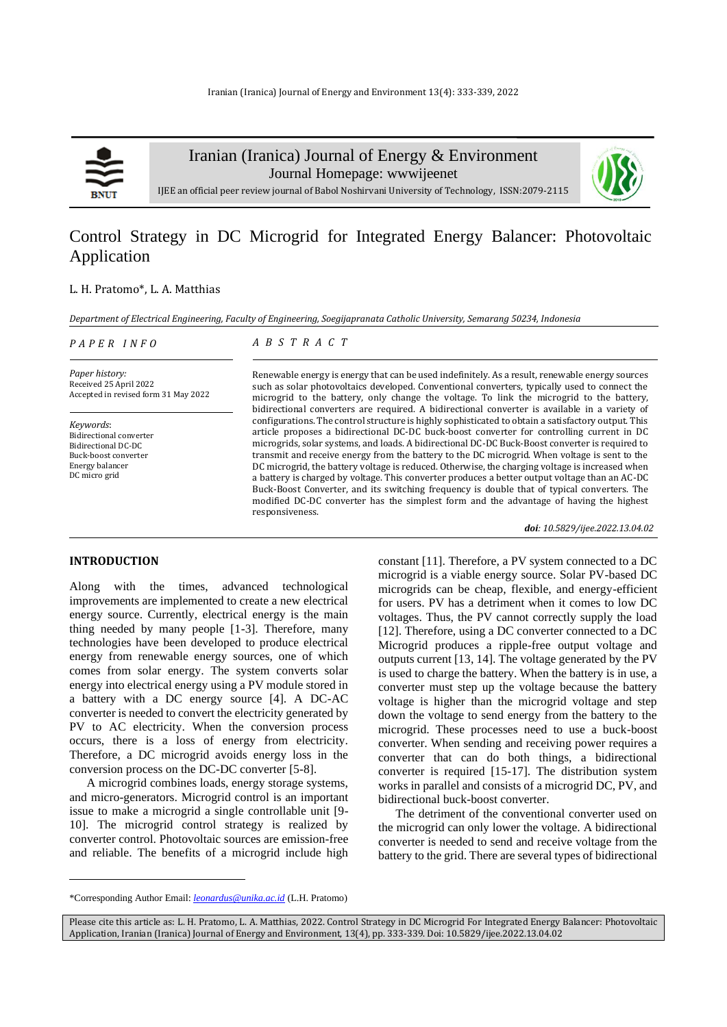

Iranian (Iranica) Journal of Energy & Environment

Journal Homepage: [wwwijeenet](http://www.ijee.net/)



IJEE an official peer review journal of Babol Noshirvani University of Technology, ISSN:2079-2115

# Control Strategy in DC Microgrid for Integrated Energy Balancer: Photovoltaic Application

#### L. H. Pratomo\*, L. A. Matthias

*Department of Electrical Engineering, Faculty of Engineering, Soegijapranata Catholic University, Semarang 50234, Indonesia*

| PAPER INFO |  |
|------------|--|
|------------|--|

# *A B S T R A C T*

*Paper history:* Received 25 April 2022 Accepted in revised form 31 May 2022

*Keywords*: Bidirectional converter Bidirectional DC-DC Buck-boost converter Energy balancer DC micro grid

Renewable energy is energy that can be used indefinitely. As a result, renewable energy sources such as solar photovoltaics developed. Conventional converters, typically used to connect the microgrid to the battery, only change the voltage. To link the microgrid to the battery, bidirectional converters are required. A bidirectional converter is available in a variety of configurations. The control structure is highly sophisticated to obtain a satisfactory output. This article proposes a bidirectional DC-DC buck-boost converter for controlling current in DC microgrids, solar systems, and loads. A bidirectional DC-DC Buck-Boost converter is required to transmit and receive energy from the battery to the DC microgrid. When voltage is sent to the DC microgrid, the battery voltage is reduced. Otherwise, the charging voltage is increased when a battery is charged by voltage. This converter produces a better output voltage than an AC-DC Buck-Boost Converter, and its switching frequency is double that of typical converters. The modified DC-DC converter has the simplest form and the advantage of having the highest responsiveness.

*doi: 10.5829/ijee.2022.13.04.02*

#### **INTRODUCTION<sup>1</sup>**

Along with the times, advanced technological improvements are implemented to create a new electrical energy source. Currently, electrical energy is the main thing needed by many people [1-3]. Therefore, many technologies have been developed to produce electrical energy from renewable energy sources, one of which comes from solar energy. The system converts solar energy into electrical energy using a PV module stored in a battery with a DC energy source [4]. A DC-AC converter is needed to convert the electricity generated by PV to AC electricity. When the conversion process occurs, there is a loss of energy from electricity. Therefore, a DC microgrid avoids energy loss in the conversion process on the DC-DC converter [5-8].

A microgrid combines loads, energy storage systems, and micro-generators. Microgrid control is an important issue to make a microgrid a single controllable unit [9- 10]. The microgrid control strategy is realized by converter control. Photovoltaic sources are emission-free and reliable. The benefits of a microgrid include high constant [11]. Therefore, a PV system connected to a DC microgrid is a viable energy source. Solar PV-based DC microgrids can be cheap, flexible, and energy-efficient for users. PV has a detriment when it comes to low DC voltages. Thus, the PV cannot correctly supply the load [12]. Therefore, using a DC converter connected to a DC Microgrid produces a ripple-free output voltage and outputs current [13, 14]. The voltage generated by the PV is used to charge the battery. When the battery is in use, a converter must step up the voltage because the battery voltage is higher than the microgrid voltage and step down the voltage to send energy from the battery to the microgrid. These processes need to use a buck-boost converter. When sending and receiving power requires a converter that can do both things, a bidirectional converter is required [15-17]. The distribution system works in parallel and consists of a microgrid DC, PV, and bidirectional buck-boost converter.

The detriment of the conventional converter used on the microgrid can only lower the voltage. A bidirectional converter is needed to send and receive voltage from the battery to the grid. There are several types of bidirectional

<sup>\*</sup>Corresponding Author Email: *[leonardus@unika.ac.id](mailto:leonardus@unika.ac.id)* (L.H. Pratomo)

Please cite this article as: L. H. Pratomo, L. A. Matthias, 2022. Control Strategy in DC Microgrid For Integrated Energy Balancer: Photovoltaic Application, Iranian (Iranica) Journal of Energy and Environment, 13(4), pp. 333-339. Doi: 10.5829/ijee.2022.13.04.02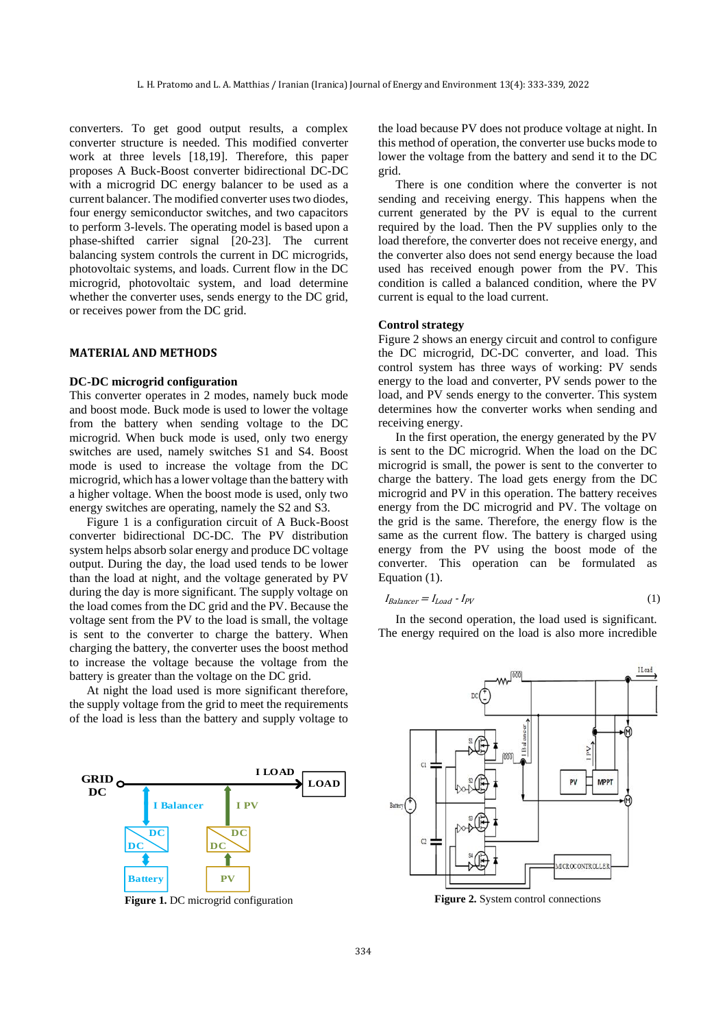converters. To get good output results, a complex converter structure is needed. This modified converter work at three levels [18,19]. Therefore, this paper proposes A Buck-Boost converter bidirectional DC-DC with a microgrid DC energy balancer to be used as a current balancer. The modified converter uses two diodes, four energy semiconductor switches, and two capacitors to perform 3-levels. The operating model is based upon a phase-shifted carrier signal [20-23]. The current balancing system controls the current in DC microgrids, photovoltaic systems, and loads. Current flow in the DC microgrid, photovoltaic system, and load determine whether the converter uses, sends energy to the DC grid, or receives power from the DC grid.

## **MATERIAL AND METHODS**

#### **DC-DC microgrid configuration**

This converter operates in 2 modes, namely buck mode and boost mode. Buck mode is used to lower the voltage from the battery when sending voltage to the DC microgrid. When buck mode is used, only two energy switches are used, namely switches S1 and S4. Boost mode is used to increase the voltage from the DC microgrid, which has a lower voltage than the battery with a higher voltage. When the boost mode is used, only two energy switches are operating, namely the S2 and S3.

Figure 1 is a configuration circuit of A Buck-Boost converter bidirectional DC-DC. The PV distribution system helps absorb solar energy and produce DC voltage output. During the day, the load used tends to be lower than the load at night, and the voltage generated by PV during the day is more significant. The supply voltage on the load comes from the DC grid and the PV. Because the voltage sent from the PV to the load is small, the voltage is sent to the converter to charge the battery. When charging the battery, the converter uses the boost method to increase the voltage because the voltage from the battery is greater than the voltage on the DC grid.

At night the load used is more significant therefore, the supply voltage from the grid to meet the requirements of the load is less than the battery and supply voltage to



**Figure 1.** DC microgrid configuration

the load because PV does not produce voltage at night. In this method of operation, the converter use bucks mode to lower the voltage from the battery and send it to the DC grid.

There is one condition where the converter is not sending and receiving energy. This happens when the current generated by the PV is equal to the current required by the load. Then the PV supplies only to the load therefore, the converter does not receive energy, and the converter also does not send energy because the load used has received enough power from the PV. This condition is called a balanced condition, where the PV current is equal to the load current.

#### **Control strategy**

Figure 2 shows an energy circuit and control to configure the DC microgrid, DC-DC converter, and load. This control system has three ways of working: PV sends energy to the load and converter, PV sends power to the load, and PV sends energy to the converter. This system determines how the converter works when sending and receiving energy.

In the first operation, the energy generated by the PV is sent to the DC microgrid. When the load on the DC microgrid is small, the power is sent to the converter to charge the battery. The load gets energy from the DC microgrid and PV in this operation. The battery receives energy from the DC microgrid and PV. The voltage on the grid is the same. Therefore, the energy flow is the same as the current flow. The battery is charged using energy from the PV using the boost mode of the converter. This operation can be formulated as Equation (1).

$$
I_{Balancer} = I_{Load} - I_{PV}
$$
 (1)

In the second operation, the load used is significant. The energy required on the load is also more incredible



**Figure 2.** System control connections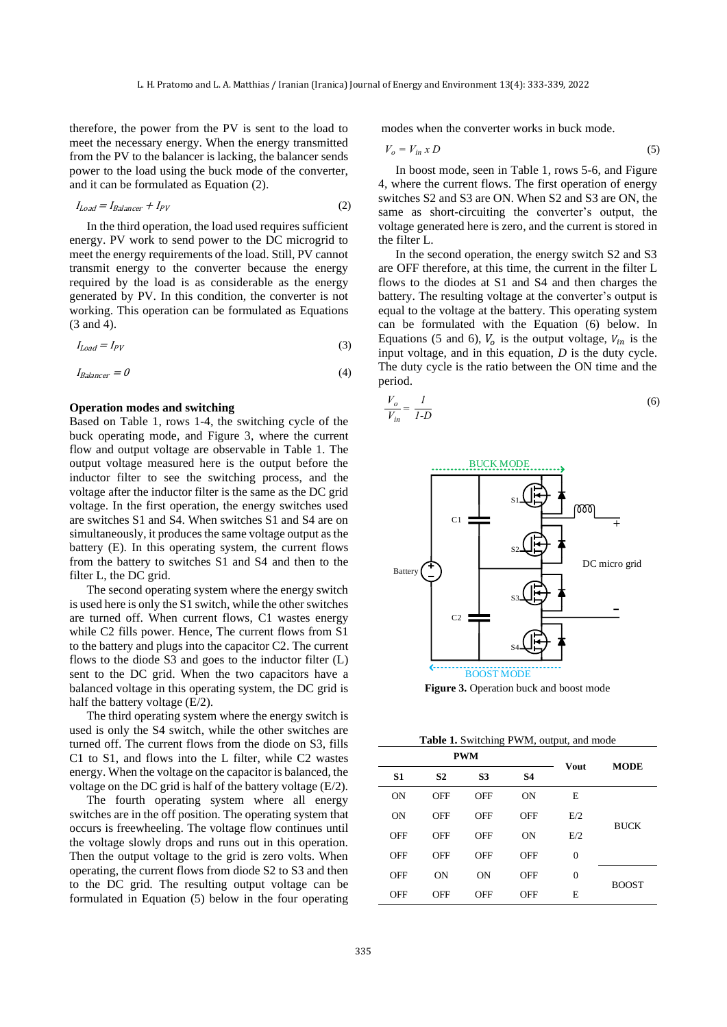therefore, the power from the PV is sent to the load to meet the necessary energy. When the energy transmitted from the PV to the balancer is lacking, the balancer sends power to the load using the buck mode of the converter, and it can be formulated as Equation (2).

$$
I_{Load} = I_{Balance} + I_{PV}
$$
 (2)

In the third operation, the load used requires sufficient energy. PV work to send power to the DC microgrid to meet the energy requirements of the load. Still, PV cannot transmit energy to the converter because the energy required by the load is as considerable as the energy generated by PV. In this condition, the converter is not working. This operation can be formulated as Equations (3 and 4).

$$
I_{Load} = I_{PV} \tag{3}
$$

$$
I_{Balancer} = 0 \tag{4}
$$

#### **Operation modes and switching**

Based on Table 1, rows 1-4, the switching cycle of the buck operating mode, and Figure 3, where the current flow and output voltage are observable in Table 1. The output voltage measured here is the output before the inductor filter to see the switching process, and the voltage after the inductor filter is the same as the DC grid voltage. In the first operation, the energy switches used are switches S1 and S4. When switches S1 and S4 are on simultaneously, it produces the same voltage output as the battery (E). In this operating system, the current flows from the battery to switches S1 and S4 and then to the filter L, the DC grid.

The second operating system where the energy switch is used here is only the S1 switch, while the other switches are turned off. When current flows, C1 wastes energy while C2 fills power. Hence, The current flows from S1 to the battery and plugs into the capacitor C2. The current flows to the diode S3 and goes to the inductor filter (L) sent to the DC grid. When the two capacitors have a balanced voltage in this operating system, the DC grid is half the battery voltage (E/2).

The third operating system where the energy switch is used is only the S4 switch, while the other switches are turned off. The current flows from the diode on S3, fills C1 to S1, and flows into the L filter, while C2 wastes energy. When the voltage on the capacitor is balanced, the voltage on the DC grid is half of the battery voltage (E/2).

The fourth operating system where all energy switches are in the off position. The operating system that occurs is freewheeling. The voltage flow continues until the voltage slowly drops and runs out in this operation. Then the output voltage to the grid is zero volts. When operating, the current flows from diode S2 to S3 and then to the DC grid. The resulting output voltage can be formulated in Equation (5) below in the four operating modes when the converter works in buck mode.

$$
V_o = V_{in} \times D \tag{5}
$$

In boost mode, seen in Table 1, rows 5-6, and Figure 4, where the current flows. The first operation of energy switches S2 and S3 are ON. When S2 and S3 are ON, the same as short-circuiting the converter's output, the voltage generated here is zero, and the current is stored in the filter L.

In the second operation, the energy switch S2 and S3 are OFF therefore, at this time, the current in the filter L flows to the diodes at S1 and S4 and then charges the battery. The resulting voltage at the converter's output is equal to the voltage at the battery. This operating system can be formulated with the Equation (6) below. In Equations (5 and 6),  $V_0$  is the output voltage,  $V_{in}$  is the input voltage, and in this equation, *D* is the duty cycle. The duty cycle is the ratio between the ON time and the period.

$$
\frac{V_o}{V_{in}} = \frac{1}{I-D}
$$
 (6)



**Figure 3.** Operation buck and boost mode

**Table 1.** Switching PWM, output, and mode

| <b>PWM</b>     |                |                |            | <b>MODE</b>  |              |  |
|----------------|----------------|----------------|------------|--------------|--------------|--|
| S <sub>1</sub> | S <sub>2</sub> | S <sub>3</sub> | <b>S4</b>  | Vout         |              |  |
| <b>ON</b>      | <b>OFF</b>     | OFF            | <b>ON</b>  | E            | <b>BUCK</b>  |  |
| <b>ON</b>      | OFF            | <b>OFF</b>     | <b>OFF</b> | E/2          |              |  |
| OFF            | OFF            | OFF            | <b>ON</b>  | E/2          |              |  |
| OFF            | OFF            | <b>OFF</b>     | <b>OFF</b> | $\theta$     |              |  |
| OFF            | <b>ON</b>      | <b>ON</b>      | <b>OFF</b> | $\mathbf{0}$ | <b>BOOST</b> |  |
| <b>OFF</b>     | OFF            | OFF            | <b>OFF</b> | E            |              |  |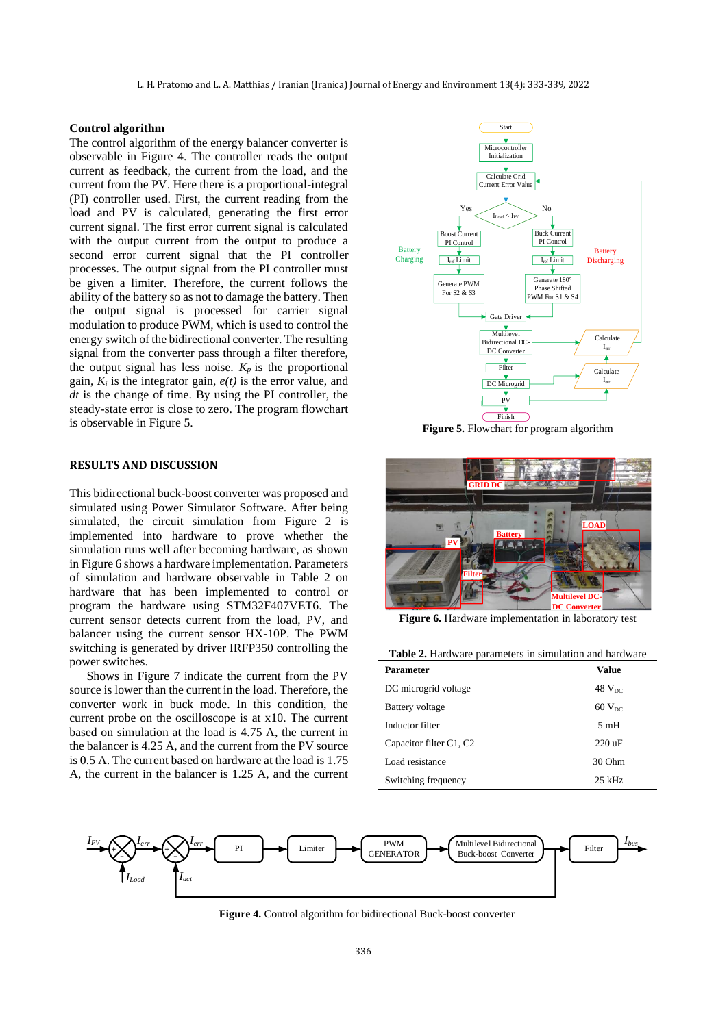L. H. Pratomo and L. A. Matthias / Iranian (Iranica) Journal of Energy and Environment 13(4): 333-339, 2022

#### **Control algorithm**

The control algorithm of the energy balancer converter is observable in Figure 4. The controller reads the output current as feedback, the current from the load, and the current from the PV. Here there is a proportional-integral (PI) controller used. First, the current reading from the load and PV is calculated, generating the first error current signal. The first error current signal is calculated with the output current from the output to produce a second error current signal that the PI controller processes. The output signal from the PI controller must be given a limiter. Therefore, the current follows the ability of the battery so as not to damage the battery. Then the output signal is processed for carrier signal modulation to produce PWM, which is used to control the energy switch of the bidirectional converter. The resulting signal from the converter pass through a filter therefore, the output signal has less noise.  $K_p$  is the proportional gain,  $K_i$  is the integrator gain,  $e(t)$  is the error value, and *dt* is the change of time. By using the PI controller, the steady-state error is close to zero. The program flowchart is observable in Figure 5.

#### **RESULTS AND DISCUSSION**

This bidirectional buck-boost converter was proposed and simulated using Power Simulator Software. After being simulated, the circuit simulation from Figure 2 is implemented into hardware to prove whether the simulation runs well after becoming hardware, as shown in Figure 6 shows a hardware implementation. Parameters of simulation and hardware observable in Table 2 on hardware that has been implemented to control or program the hardware using STM32F407VET6. The current sensor detects current from the load, PV, and balancer using the current sensor HX-10P. The PWM switching is generated by driver IRFP350 controlling the power switches.

Shows in Figure 7 indicate the current from the PV source is lower than the current in the load. Therefore, the converter work in buck mode. In this condition, the current probe on the oscilloscope is at x10. The current based on simulation at the load is 4.75 A, the current in the balancer is 4.25 A, and the current from the PV source is 0.5 A. The current based on hardware at the load is 1.75 A, the current in the balancer is 1.25 A, and the current



**Figure 5.** Flowchart for program algorithm



**Figure 6.** Hardware implementation in laboratory test

| <b>Table 2.</b> Hardware parameters in simulation and hardware |  |  |  |
|----------------------------------------------------------------|--|--|--|
|                                                                |  |  |  |

| <b>Parameter</b>        | Value                |
|-------------------------|----------------------|
| DC microgrid voltage    | $48$ $V_{DC}$        |
| <b>Battery</b> voltage  | $60$ V <sub>DC</sub> |
| Inductor filter         | 5mH                  |
| Capacitor filter C1, C2 | $220 \text{ uF}$     |
| Load resistance         | $30$ Ohm             |
| Switching frequency     | $25$ kHz             |



**Figure 4.** Control algorithm for bidirectional Buck-boost converter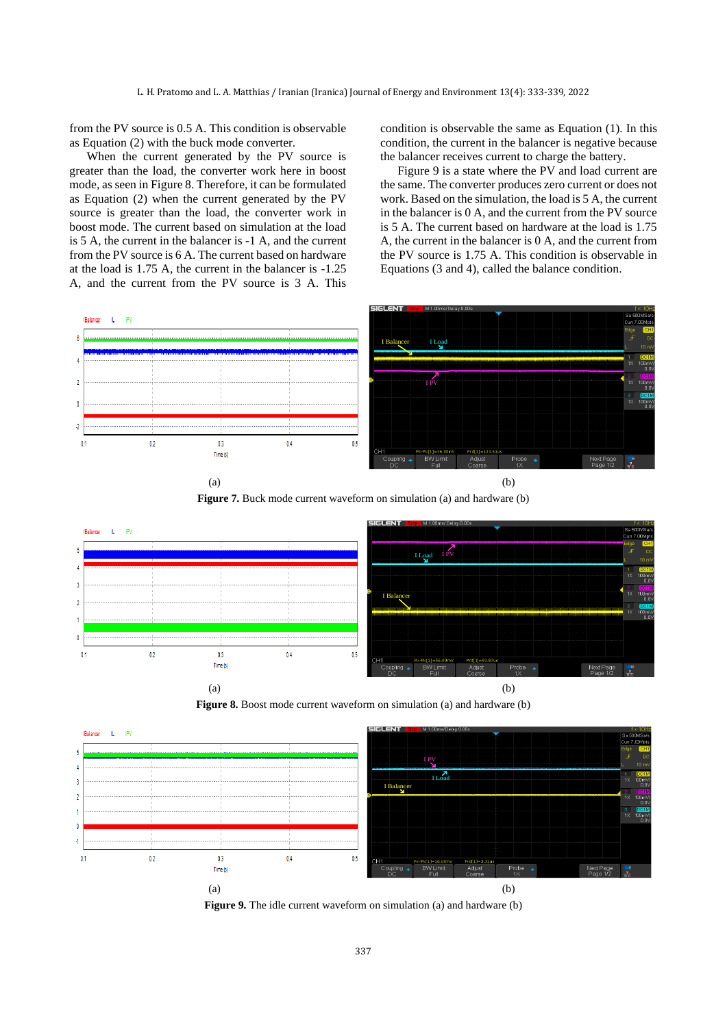from the PV source is 0.5 A. This condition is observable as Equation (2) with the buck mode converter.

When the current generated by the PV source is greater than the load, the converter work here in boost mode, as seen in Figure 8. Therefore, it can be formulated as Equation (2) when the current generated by the PV source is greater than the load, the converter work in boost mode. The current based on simulation at the load is 5 A, the current in the balancer is -1 A, and the current from the PV source is 6 A. The current based on hardware at the load is 1.75 A, the current in the balancer is -1.25 A, and the current from the PV source is 3 A. This condition is observable the same as Equation (1). In this condition, the current in the balancer is negative because the balancer receives current to charge the battery.

Figure 9 is a state where the PV and load current are the same. The converter produces zero current or does not work. Based on the simulation, the load is 5 A, the current in the balancer is 0 A, and the current from the PV source is 5 A. The current based on hardware at the load is 1.75 A, the current in the balancer is 0 A, and the current from the PV source is 1.75 A. This condition is observable in Equations (3 and 4), called the balance condition.





 $(a)$  (b)









**Figure 9.** The idle current waveform on simulation (a) and hardware (b)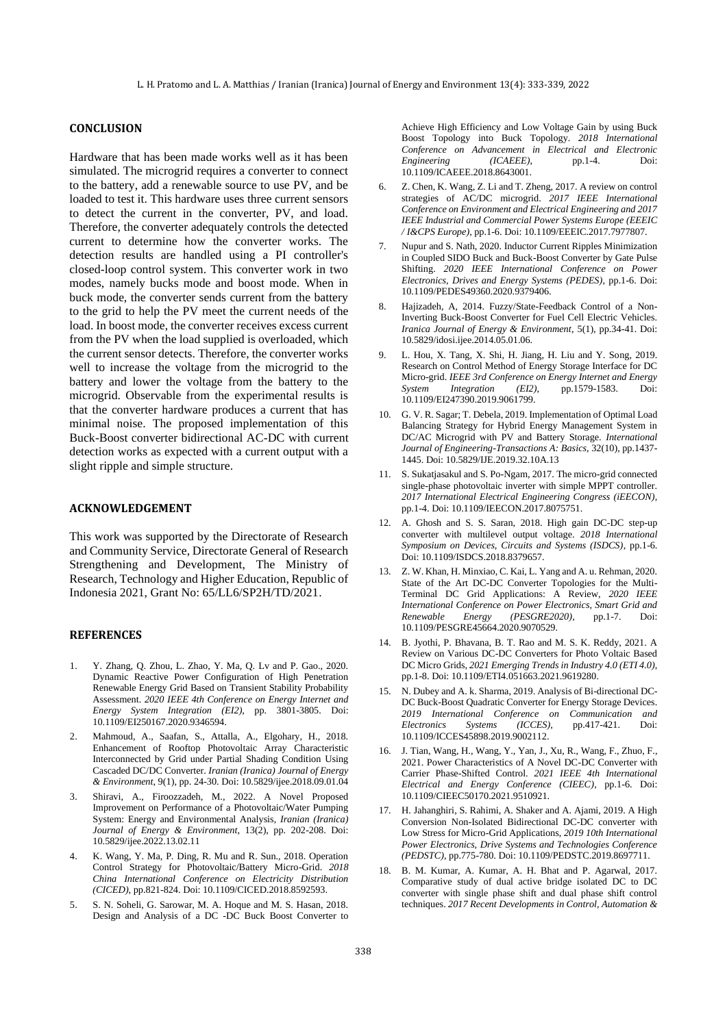# **CONCLUSION**

Hardware that has been made works well as it has been simulated. The microgrid requires a converter to connect to the battery, add a renewable source to use PV, and be loaded to test it. This hardware uses three current sensors to detect the current in the converter, PV, and load. Therefore, the converter adequately controls the detected current to determine how the converter works. The detection results are handled using a PI controller's closed-loop control system. This converter work in two modes, namely bucks mode and boost mode. When in buck mode, the converter sends current from the battery to the grid to help the PV meet the current needs of the load. In boost mode, the converter receives excess current from the PV when the load supplied is overloaded, which the current sensor detects. Therefore, the converter works well to increase the voltage from the microgrid to the battery and lower the voltage from the battery to the microgrid. Observable from the experimental results is that the converter hardware produces a current that has minimal noise. The proposed implementation of this Buck-Boost converter bidirectional AC-DC with current detection works as expected with a current output with a slight ripple and simple structure.

## **ACKNOWLEDGEMENT**

This work was supported by the Directorate of Research and Community Service, Directorate General of Research Strengthening and Development, The Ministry of Research, Technology and Higher Education, Republic of Indonesia 2021, Grant No: 65/LL6/SP2H/TD/2021.

#### **REFERENCES**

- 1. Y. Zhang, Q. Zhou, L. Zhao, Y. Ma, Q. Lv and P. Gao., 2020. Dynamic Reactive Power Configuration of High Penetration Renewable Energy Grid Based on Transient Stability Probability Assessment. *2020 IEEE 4th Conference on Energy Internet and Energy System Integration (EI2)*, pp. 3801-3805. Doi: 10.1109/EI250167.2020.9346594.
- 2. Mahmoud, A., Saafan, S., Attalla, A., Elgohary, H., 2018. Enhancement of Rooftop Photovoltaic Array Characteristic Interconnected by Grid under Partial Shading Condition Using Cascaded DC/DC Converter. *Iranian (Iranica) Journal of Energy & Environment*, 9(1), pp. 24-30. Doi: 10.5829/ijee.2018.09.01.04
- 3. Shiravi, A., Firoozzadeh, M., 2022. A Novel Proposed Improvement on Performance of a Photovoltaic/Water Pumping System: Energy and Environmental Analysis, *Iranian (Iranica) Journal of Energy & Environment*, 13(2), pp. 202-208. Doi: 10.5829/ijee.2022.13.02.11
- 4. K. Wang, Y. Ma, P. Ding, R. Mu and R. Sun., 2018. Operation Control Strategy for Photovoltaic/Battery Micro-Grid. *2018 China International Conference on Electricity Distribution (CICED)*, pp.821-824. Doi: 10.1109/CICED.2018.8592593.
- 5. S. N. Soheli, G. Sarowar, M. A. Hoque and M. S. Hasan, 2018. Design and Analysis of a DC -DC Buck Boost Converter to

Achieve High Efficiency and Low Voltage Gain by using Buck Boost Topology into Buck Topology. *2018 International Conference on Advancement in Electrical and Electronic Engineering (ICAEEE)*, pp.1-4. Doi: 10.1109/ICAEEE.2018.8643001.

- 6. Z. Chen, K. Wang, Z. Li and T. Zheng, 2017. A review on control strategies of AC/DC microgrid. *2017 IEEE International Conference on Environment and Electrical Engineering and 2017 IEEE Industrial and Commercial Power Systems Europe (EEEIC / I&CPS Europe)*, pp.1-6. Doi: 10.1109/EEEIC.2017.7977807.
- 7. Nupur and S. Nath, 2020. Inductor Current Ripples Minimization in Coupled SIDO Buck and Buck-Boost Converter by Gate Pulse Shifting. *2020 IEEE International Conference on Power Electronics, Drives and Energy Systems (PEDES)*, pp.1-6. Doi: 10.1109/PEDES49360.2020.9379406.
- 8. Hajizadeh, A, 2014. Fuzzy/State-Feedback Control of a Non-Inverting Buck-Boost Converter for Fuel Cell Electric Vehicles. *Iranica Journal of Energy & Environment*, 5(1), pp.34-41. Doi: 10.5829/idosi.ijee.2014.05.01.06.
- 9. L. Hou, X. Tang, X. Shi, H. Jiang, H. Liu and Y. Song, 2019. Research on Control Method of Energy Storage Interface for DC Micro-grid. *IEEE 3rd Conference on Energy Internet and Energy System Integration (EI2)*, pp.1579-1583. Doi: 10.1109/EI247390.2019.9061799.
- 10. G. V. R. Sagar; T. Debela, 2019. Implementation of Optimal Load Balancing Strategy for Hybrid Energy Management System in DC/AC Microgrid with PV and Battery Storage. *International Journal of Engineering-Transactions A: Basics*, 32(10), pp.1437- 1445. Doi[: 10.5829/IJE.2019.32.10A.13](https://dx.doi.org/10.5829/ije.2019.32.10a.13)
- 11. S. Sukatjasakul and S. Po-Ngam, 2017. The micro-grid connected single-phase photovoltaic inverter with simple MPPT controller. *2017 International Electrical Engineering Congress (iEECON)*, pp.1-4. Doi: 10.1109/IEECON.2017.8075751.
- 12. A. Ghosh and S. S. Saran, 2018. High gain DC-DC step-up converter with multilevel output voltage. *2018 International Symposium on Devices, Circuits and Systems (ISDCS)*, pp.1-6. Doi: 10.1109/ISDCS.2018.8379657.
- 13. Z. W. Khan, H. Minxiao, C. Kai, L. Yang and A. u. Rehman, 2020. State of the Art DC-DC Converter Topologies for the Multi-Terminal DC Grid Applications: A Review, *2020 IEEE International Conference on Power Electronics, Smart Grid and Renewable Energy (PESGRE2020)*, pp.1-7. Doi: 10.1109/PESGRE45664.2020.9070529.
- 14. B. Jyothi, P. Bhavana, B. T. Rao and M. S. K. Reddy, 2021. A Review on Various DC-DC Converters for Photo Voltaic Based DC Micro Grids, *2021 Emerging Trends in Industry 4.0 (ETI 4.0)*, pp.1-8. Doi: 10.1109/ETI4.051663.2021.9619280.
- 15. N. Dubey and A. k. Sharma, 2019. Analysis of Bi-directional DC-DC Buck-Boost Quadratic Converter for Energy Storage Devices. *2019 International Conference on Communication and Electronics Systems (ICCES)*, pp.417-421. Doi: 10.1109/ICCES45898.2019.9002112.
- 16. J. Tian, Wang, H., Wang, Y., Yan, J., Xu, R., Wang, F., Zhuo, F., 2021. Power Characteristics of A Novel DC-DC Converter with Carrier Phase-Shifted Control. *2021 IEEE 4th International Electrical and Energy Conference (CIEEC)*, pp.1-6. Doi: 10.1109/CIEEC50170.2021.9510921.
- 17. H. Jahanghiri, S. Rahimi, A. Shaker and A. Ajami, 2019. A High Conversion Non-Isolated Bidirectional DC-DC converter with Low Stress for Micro-Grid Applications, *2019 10th International Power Electronics, Drive Systems and Technologies Conference (PEDSTC)*, pp.775-780. Doi: 10.1109/PEDSTC.2019.8697711.
- 18. B. M. Kumar, A. Kumar, A. H. Bhat and P. Agarwal, 2017. Comparative study of dual active bridge isolated DC to DC converter with single phase shift and dual phase shift control techniques. *2017 Recent Developments in Control, Automation &*